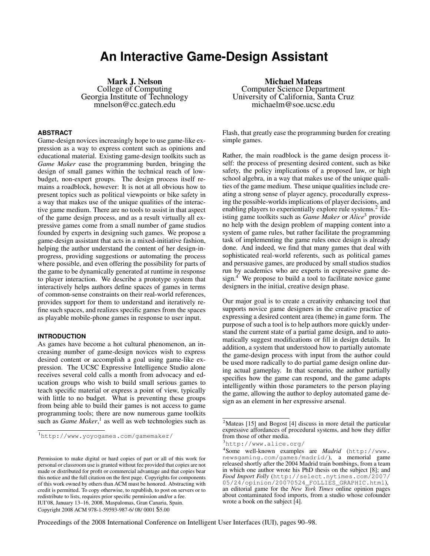# **An Interactive Game-Design Assistant**

**Mark J. Nelson** College of Computing Georgia Institute of Technology mnelson@cc.gatech.edu

## **ABSTRACT**

Game-design novices increasingly hope to use game-like expression as a way to express content such as opinions and educational material. Existing game-design toolkits such as *Game Maker* ease the programming burden, bringing the design of small games within the technical reach of lowbudget, non-expert groups. The design process itself remains a roadblock, however: It is not at all obvious how to present topics such as political viewpoints or bike safety in a way that makes use of the unique qualities of the interactive game medium. There are no tools to assist in that aspect of the game design process, and as a result virtually all expressive games come from a small number of game studios founded by experts in designing such games. We propose a game-design assistant that acts in a mixed-initiative fashion, helping the author understand the content of her design-inprogress, providing suggestions or automating the process where possible, and even offering the possibility for parts of the game to be dynamically generated at runtime in response to player interaction. We describe a prototype system that interactively helps authors define spaces of games in terms of common-sense constraints on their real-world references, provides support for them to understand and iteratively refine such spaces, and realizes specific games from the spaces as playable mobile-phone games in response to user input.

## **INTRODUCTION**

As games have become a hot cultural phenomenon, an increasing number of game-design novices wish to express desired content or accomplish a goal using game-like expression. The UCSC Expressive Intelligence Studio alone receives several cold calls a month from advocacy and education groups who wish to build small serious games to teach specific material or express a point of view, typically with little to no budget. What is preventing these groups from being able to build their games is not access to game programming tools; there are now numerous game toolkits such as *Game Maker*, 1 as well as web technologies such as

**Michael Mateas** Computer Science Department University of California, Santa Cruz michaelm@soe.ucsc.edu

Flash, that greatly ease the programming burden for creating simple games.

Rather, the main roadblock is the game design process itself: the process of presenting desired content, such as bike safety, the policy implications of a proposed law, or high school algebra, in a way that makes use of the unique qualities of the game medium. These unique qualities include creating a strong sense of player agency, procedurally expressing the possible-worlds implications of player decisions, and enabling players to experientially explore rule systems.<sup>2</sup> Existing game toolkits such as *Game Maker* or *Alice*<sup>3</sup> provide no help with the design problem of mapping content into a system of game rules, but rather facilitate the programming task of implementing the game rules once design is already done. And indeed, we find that many games that deal with sophisticated real-world referents, such as political games and persuasive games, are produced by small studios studios run by academics who are experts in expressive game design.<sup>4</sup> We propose to build a tool to facilitate novice game designers in the initial, creative design phase.

Our major goal is to create a creativity enhancing tool that supports novice game designers in the creative practice of expressing a desired content area (theme) in game form. The purpose of such a tool is to help authors more quickly understand the current state of a partial game design, and to automatically suggest modifications or fill in design details. In addition, a system that understood how to partially automate the game-design process with input from the author could be used more radically to do partial game design online during actual gameplay. In that scenario, the author partially specifies how the game can respond, and the game adapts intelligently within those parameters to the person playing the game, allowing the author to deploy automated game design as an element in her expressive arsenal.

Proceedings of the 2008 International Conference on Intelligent User Interfaces (IUI), pages 90–98.

<sup>1</sup>http://www.yoyogames.com/gamemaker/

Permission to make digital or hard copies of part or all of this work for personal or classroom use is granted without fee provided that copies are not made or distributed for profit or commercial advantage and that copies bear this notice and the full citation on the first page. Copyrights for components of this work owned by others than ACM must be honored. Abstracting with credit is permitted. To copy otherwise, to republish, to post on servers or to redistribute to lists, requires prior specific permission and/or a fee. IUI'08, January 13–16, 2008, Maspalomas, Gran Canaria, Spain. Copyright 2008 ACM 978-1-59593-987-6/ 08/ 0001 \$5.00

<sup>&</sup>lt;sup>2</sup>Mateas [15] and Bogost [4] discuss in more detail the particular expressive affordances of procedural systems, and how they differ from those of other media.

<sup>3</sup>http://www.alice.org/

<sup>4</sup> Some well-known examples are *Madrid* (http://www. newsgaming.com/games/madrid/), a memorial game released shortly after the 2004 Madrid train bombings, from a team in which one author wrote his PhD thesis on the subject [8]; and *Food Import Folly* (http://select.nytimes.com/2007/ 05/24/opinion/20070524\_FOLLIES\_GRAPHIC.html), an editorial game for the *New York Times* online opinion pages about contaminated food imports, from a studio whose cofounder wrote a book on the subject [4].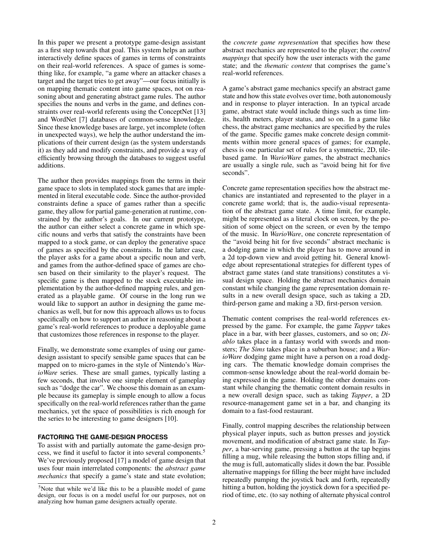In this paper we present a prototype game-design assistant as a first step towards that goal. This system helps an author interactively define spaces of games in terms of constraints on their real-world references. A space of games is something like, for example, "a game where an attacker chases a target and the target tries to get away"—our focus initially is on mapping thematic content into game spaces, not on reasoning about and generating abstract game rules. The author specifies the nouns and verbs in the game, and defines constraints over real-world referents using the ConceptNet [13] and WordNet [7] databases of common-sense knowledge. Since these knowledge bases are large, yet incomplete (often in unexpected ways), we help the author understand the implications of their current design (as the system understands it) as they add and modify constraints, and provide a way of efficiently browsing through the databases to suggest useful additions.

The author then provides mappings from the terms in their game space to slots in templated stock games that are implemented in literal executable code. Since the author-provided constraints define a space of games rather than a specific game, they allow for partial game-generation at runtime, constrained by the author's goals. In our current prototype, the author can either select a concrete game in which specific nouns and verbs that satisfy the constraints have been mapped to a stock game, or can deploy the generative space of games as specified by the constraints. In the latter case, the player asks for a game about a specific noun and verb, and games from the author-defined space of games are chosen based on their similarity to the player's request. The specific game is then mapped to the stock executable implementation by the author-defined mapping rules, and generated as a playable game. Of course in the long run we would like to support an author in designing the game mechanics as well, but for now this approach allows us to focus specifically on how to support an author in reasoning about a game's real-world references to produce a deployable game that customizes those references in response to the player.

Finally, we demonstrate some examples of using our gamedesign assistant to specify sensible game spaces that can be mapped on to micro-games in the style of Nintendo's *WarioWare* series. These are small games, typically lasting a few seconds, that involve one simple element of gameplay such as "dodge the car". We choose this domain as an example because its gameplay is simple enough to allow a focus specifically on the real-world references rather than the game mechanics, yet the space of possibilities is rich enough for the series to be interesting to game designers [10].

#### **FACTORING THE GAME-DESIGN PROCESS**

To assist with and partially automate the game-design process, we find it useful to factor it into several components.<sup>5</sup> We've previously proposed [17] a model of game design that uses four main interrelated components: the *abstract game mechanics* that specify a game's state and state evolution; the *concrete game representation* that specifies how these abstract mechanics are represented to the player; the *control mappings* that specify how the user interacts with the game state; and the *thematic content* that comprises the game's real-world references.

A game's abstract game mechanics specify an abstract game state and how this state evolves over time, both autonomously and in response to player interaction. In an typical arcade game, abstract state would include things such as time limits, health meters, player status, and so on. In a game like chess, the abstract game mechanics are specified by the rules of the game. Specific games make concrete design commitments within more general spaces of games; for example, chess is one particular set of rules for a symmetric, 2D, tilebased game. In *WarioWare* games, the abstract mechanics are usually a single rule, such as "avoid being hit for five seconds".

Concrete game representation specifies how the abstract mechanics are instantiated and represented to the player in a concrete game world; that is, the audio-visual representation of the abstract game state. A time limit, for example, might be represented as a literal clock on screen, by the position of some object on the screen, or even by the tempo of the music. In *WarioWare*, one concrete representation of the "avoid being hit for five seconds" abstract mechanic is a dodging game in which the player has to move around in a 2d top-down view and avoid getting hit. General knowledge about representational strategies for different types of abstract game states (and state transitions) constitutes a visual design space. Holding the abstract mechanics domain constant while changing the game representation domain results in a new overall design space, such as taking a 2D, third-person game and making a 3D, first-person version.

Thematic content comprises the real-world references expressed by the game. For example, the game *Tapper* takes place in a bar, with beer glasses, customers, and so on; *Diablo* takes place in a fantasy world with swords and monsters; *The Sims* takes place in a suburban house; and a *WarioWare* dodging game might have a person on a road dodging cars. The thematic knowledge domain comprises the common-sense knowledge about the real-world domain being expressed in the game. Holding the other domains constant while changing the thematic content domain results in a new overall design space, such as taking *Tapper*, a 2D resource-management game set in a bar, and changing its domain to a fast-food restaurant.

Finally, control mapping describes the relationship between physical player inputs, such as button presses and joystick movement, and modification of abstract game state. In *Tapper*, a bar-serving game, pressing a button at the tap begins filling a mug, while releasing the button stops filling and, if the mug is full, automatically slides it down the bar. Possible alternative mappings for filling the beer might have included repeatedly pumping the joystick back and forth, repeatedly hitting a button, holding the joystick down for a specified period of time, etc. (to say nothing of alternate physical control

 $5$ Note that while we'd like this to be a plausible model of game design, our focus is on a model useful for our purposes, not on analyzing how human game designers actually operate.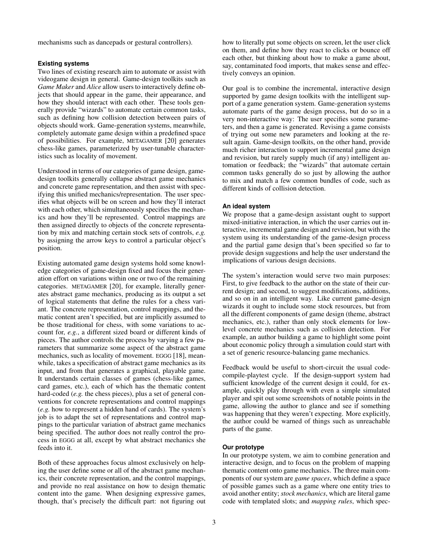mechanisms such as dancepads or gestural controllers).

## **Existing systems**

Two lines of existing research aim to automate or assist with videogame design in general. Game-design toolkits such as *Game Maker* and *Alice* allow users to interactively define objects that should appear in the game, their appearance, and how they should interact with each other. These tools generally provide "wizards" to automate certain common tasks, such as defining how collision detection between pairs of objects should work. Game-generation systems, meanwhile, completely automate game design within a predefined space of possibilities. For example, METAGAMER [20] generates chess-like games, parameterized by user-tunable characteristics such as locality of movement.

Understood in terms of our categories of game design, gamedesign toolkits generally collapse abstract game mechanics and concrete game representation, and then assist with specifying this unified mechanics/representation. The user specifies what objects will be on screen and how they'll interact with each other, which simultaneously specifies the mechanics and how they'll be represented. Control mappings are then assigned directly to objects of the concrete representation by mix and matching certain stock sets of controls, *e.g.* by assigning the arrow keys to control a particular object's position.

Existing automated game design systems hold some knowledge categories of game-design fixed and focus their generation effort on variations within one or two of the remaining categories. METAGAMER [20], for example, literally generates abstract game mechanics, producing as its output a set of logical statements that define the rules for a chess variant. The concrete representation, control mappings, and thematic content aren't specified, but are implicitly assumed to be those traditional for chess, with some variations to account for, *e.g.*, a different sized board or different kinds of pieces. The author controls the process by varying a few parameters that summarize some aspect of the abstract game mechanics, such as locality of movement. EGGG [18], meanwhile, takes a specification of abstract game mechanics as its input, and from that generates a graphical, playable game. It understands certain classes of games (chess-like games, card games, etc.), each of which has the thematic content hard-coded (*e.g.* the chess pieces), plus a set of general conventions for concrete representations and control mappings (*e.g.* how to represent a hidden hand of cards). The system's job is to adapt the set of representations and control mappings to the particular variation of abstract game mechanics being specified. The author does not really control the process in EGGG at all, except by what abstract mechanics she feeds into it.

Both of these approaches focus almost exclusively on helping the user define some or all of the abstract game mechanics, their concrete representation, and the control mappings, and provide no real assistance on how to design thematic content into the game. When designing expressive games, though, that's precisely the difficult part: not figuring out how to literally put some objects on screen, let the user click on them, and define how they react to clicks or bounce off each other, but thinking about how to make a game about, say, contaminated food imports, that makes sense and effectively conveys an opinion.

Our goal is to combine the incremental, interactive design supported by game design toolkits with the intelligent support of a game generation system. Game-generation systems automate parts of the game design process, but do so in a very non-interactive way: The user specifies some parameters, and then a game is generated. Revising a game consists of trying out some new parameters and looking at the result again. Game-design toolkits, on the other hand, provide much richer interaction to support incremental game design and revision, but rarely supply much (if any) intelligent automation or feedback; the "wizards" that automate certain common tasks generally do so just by allowing the author to mix and match a few common bundles of code, such as different kinds of collision detection.

#### **An ideal system**

We propose that a game-design assistant ought to support mixed-initiative interaction, in which the user carries out interactive, incremental game design and revision, but with the system using its understanding of the game-design process and the partial game design that's been specified so far to provide design suggestions and help the user understand the implications of various design decisions.

The system's interaction would serve two main purposes: First, to give feedback to the author on the state of their current design; and second, to suggest modifications, additions, and so on in an intelligent way. Like current game-design wizards it ought to include some stock resources, but from all the different components of game design (theme, abstract mechanics, etc.), rather than only stock elements for lowlevel concrete mechanics such as collision detection. For example, an author building a game to highlight some point about economic policy through a simulation could start with a set of generic resource-balancing game mechanics.

Feedback would be useful to short-circuit the usual codecompile-playtest cycle. If the design-support system had sufficient knowledge of the current design it could, for example, quickly play through with even a simple simulated player and spit out some screenshots of notable points in the game, allowing the author to glance and see if something was happening that they weren't expecting. More explicitly, the author could be warned of things such as unreachable parts of the game.

#### **Our prototype**

In our prototype system, we aim to combine generation and interactive design, and to focus on the problem of mapping thematic content onto game mechanics. The three main components of our system are *game spaces*, which define a space of possible games such as a game where one entity tries to avoid another entity; *stock mechanics*, which are literal game code with templated slots; and *mapping rules*, which spec-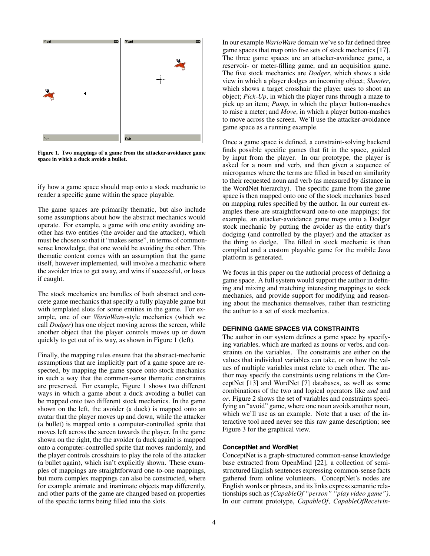

**Figure 1. Two mappings of a game from the attacker-avoidance game space in which a duck avoids a bullet.**

ify how a game space should map onto a stock mechanic to render a specific game within the space playable.

The game spaces are primarily thematic, but also include some assumptions about how the abstract mechanics would operate. For example, a game with one entity avoiding another has two entities (the avoider and the attacker), which must be chosen so that it "makes sense", in terms of commonsense knowledge, that one would be avoiding the other. This thematic content comes with an assumption that the game itself, however implemented, will involve a mechanic where the avoider tries to get away, and wins if successful, or loses if caught.

The stock mechanics are bundles of both abstract and concrete game mechanics that specify a fully playable game but with templated slots for some entities in the game. For example, one of our *WarioWare*-style mechanics (which we call *Dodger*) has one object moving across the screen, while another object that the player controls moves up or down quickly to get out of its way, as shown in Figure 1 (left).

Finally, the mapping rules ensure that the abstract-mechanic assumptions that are implicitly part of a game space are respected, by mapping the game space onto stock mechanics in such a way that the common-sense thematic constraints are preserved. For example, Figure 1 shows two different ways in which a game about a duck avoiding a bullet can be mapped onto two different stock mechanics. In the game shown on the left, the avoider (a duck) is mapped onto an avatar that the player moves up and down, while the attacker (a bullet) is mapped onto a computer-controlled sprite that moves left across the screen towards the player. In the game shown on the right, the the avoider (a duck again) is mapped onto a computer-controlled sprite that moves randomly, and the player controls crosshairs to play the role of the attacker (a bullet again), which isn't explicitly shown. These examples of mappings are straightforward one-to-one mappings, but more complex mappings can also be constructed, where for example animate and inanimate objects map differently, and other parts of the game are changed based on properties of the specific terms being filled into the slots.

In our example *WarioWare* domain we've so far defined three game spaces that map onto five sets of stock mechanics [17]. The three game spaces are an attacker-avoidance game, a reservoir- or meter-filling game, and an acquisition game. The five stock mechanics are *Dodger*, which shows a side view in which a player dodges an incoming object; *Shooter*, which shows a target crosshair the player uses to shoot an object; *Pick-Up*, in which the player runs through a maze to pick up an item; *Pump*, in which the player button-mashes to raise a meter; and *Move*, in which a player button-mashes to move across the screen. We'll use the attacker-avoidance game space as a running example.

Once a game space is defined, a constraint-solving backend finds possible specific games that fit in the space, guided by input from the player. In our prototype, the player is asked for a noun and verb, and then given a sequence of microgames where the terms are filled in based on similarity to their requested noun and verb (as measured by distance in the WordNet hierarchy). The specific game from the game space is then mapped onto one of the stock mechanics based on mapping rules specified by the author. In our current examples these are straightforward one-to-one mappings; for example, an attacker-avoidance game maps onto a Dodger stock mechanic by putting the avoider as the entity that's dodging (and controlled by the player) and the attacker as the thing to dodge. The filled in stock mechanic is then compiled and a custom playable game for the mobile Java platform is generated.

We focus in this paper on the authorial process of defining a game space. A full system would support the author in defining and mixing and matching interesting mappings to stock mechanics, and provide support for modifying and reasoning about the mechanics themselves, rather than restricting the author to a set of stock mechanics.

# **DEFINING GAME SPACES VIA CONSTRAINTS**

The author in our system defines a game space by specifying variables, which are marked as nouns or verbs, and constraints on the variables. The constraints are either on the values that individual variables can take, or on how the values of multiple variables must relate to each other. The author may specify the constraints using relations in the ConceptNet [13] and WordNet [7] databases, as well as some combinations of the two and logical operators like *and* and *or*. Figure 2 shows the set of variables and constraints specifying an "avoid" game, where one noun avoids another noun, which we'll use as an example. Note that a user of the interactive tool need never see this raw game description; see Figure 3 for the graphical view.

#### **ConceptNet and WordNet**

ConceptNet is a graph-structured common-sense knowledge base extracted from OpenMind [22], a collection of semistructured English sentences expressing common-sense facts gathered from online volunteers. ConceptNet's nodes are English words or phrases, and its links express semantic relationships such as *(CapableOf "person" "play video game")*. In our current prototype, *CapableOf*, *CapableOfReceivin-*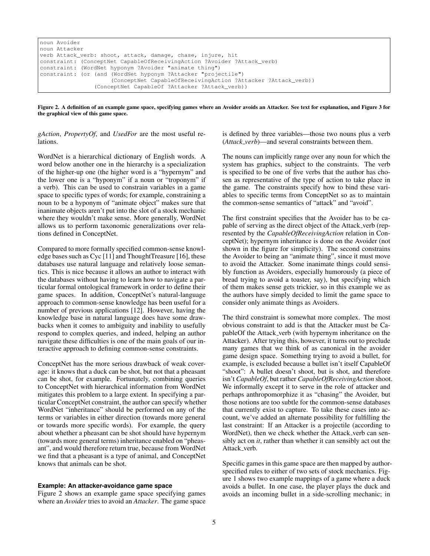```
noun Avoider
noun Attacker
verb Attack_verb: shoot, attack, damage, chase, injure, hit
constraint: (ConceptNet CapableOfReceivingAction ?Avoider ?Attack_verb)
constraint: (WordNet hyponym ?Avoider "animate thing")
constraint: (or (and (WordNet hyponym ?Attacker "projectile")
                     (ConceptNet CapableOfReceivingAction ?Attacker ?Attack_verb))
                (ConceptNet CapableOf ?Attacker ?Attack_verb))
```
**Figure 2. A definition of an example game space, specifying games where an Avoider avoids an Attacker. See text for explanation, and Figure 3 for the graphical view of this game space.**

*gAction*, *PropertyOf*, and *UsedFor* are the most useful relations.

WordNet is a hierarchical dictionary of English words. A word below another one in the hierarchy is a specialization of the higher-up one (the higher word is a "hypernym" and the lower one is a "hyponym" if a noun or "troponym" if a verb). This can be used to constrain variables in a game space to specific types of words; for example, constraining a noun to be a hyponym of "animate object" makes sure that inanimate objects aren't put into the slot of a stock mechanic where they wouldn't make sense. More generally, WordNet allows us to perform taxonomic generalizations over relations defined in ConceptNet.

Compared to more formally specified common-sense knowledge bases such as Cyc [11] and ThoughtTreasure [16], these databases use natural language and relatively loose semantics. This is nice because it allows an author to interact with the databases without having to learn how to navigate a particular formal ontological framework in order to define their game spaces. In addition, ConceptNet's natural-language approach to common-sense knowledge has been useful for a number of previous applications [12]. However, having the knowledge base in natural language does have some drawbacks when it comes to ambiguity and inability to usefully respond to complex queries, and indeed, helping an author navigate these difficulties is one of the main goals of our interactive approach to defining common-sense constraints.

ConceptNet has the more serious drawback of weak coverage: it knows that a duck can be shot, but not that a pheasant can be shot, for example. Fortunately, combining queries to ConceptNet with hierarchical information from WordNet mitigates this problem to a large extent. In specifying a particular ConceptNet constraint, the author can specify whether WordNet "inheritance" should be performed on any of the terms or variables in either direction (towards more general or towards more specific words). For example, the query about whether a pheasant can be shot should have hypernym (towards more general terms) inheritance enabled on "pheasant", and would therefore return true, because from WordNet we find that a pheasant is a type of animal, and ConceptNet knows that animals can be shot.

#### **Example: An attacker-avoidance game space**

Figure 2 shows an example game space specifying games where an *Avoider* tries to avoid an *Attacker*. The game space is defined by three variables—those two nouns plus a verb (*Attack verb*)—and several constraints between them.

The nouns can implicitly range over any noun for which the system has graphics, subject to the constraints. The verb is specified to be one of five verbs that the author has chosen as representative of the type of action to take place in the game. The constraints specify how to bind these variables to specific terms from ConceptNet so as to maintain the common-sense semantics of "attack" and "avoid".

The first constraint specifies that the Avoider has to be capable of serving as the direct object of the Attack verb (represented by the *CapableOfReceivingAction* relation in ConceptNet); hypernym inheritance is done on the Avoider (not shown in the figure for simplicity). The second constrains the Avoider to being an "animate thing", since it must move to avoid the Attacker. Some inanimate things could sensibly function as Avoiders, especially humorously (a piece of bread trying to avoid a toaster, say), but specifying which of them makes sense gets trickier, so in this example we as the authors have simply decided to limit the game space to consider only animate things as Avoiders.

The third constraint is somewhat more complex. The most obvious constraint to add is that the Attacker must be CapableOf the Attack verb (with hypernym inheritance on the Attacker). After trying this, however, it turns out to preclude many games that we think of as canonical in the avoider game design space. Something trying to avoid a bullet, for example, is excluded because a bullet isn't itself CapableOf "shoot": A bullet doesn't shoot, but is shot, and therefore isn't *CapableOf*, but rather *CapableOfReceivingAction* shoot. We informally except it to serve in the role of attacker and perhaps anthropomorphize it as "chasing" the Avoider, but those notions are too subtle for the common-sense databases that currently exist to capture. To take these cases into account, we've added an alternate possibility for fulfilling the last constraint: If an Attacker is a projectile (according to WordNet), then we check whether the Attack\_verb can sensibly act on *it*, rather than whether it can sensibly act out the Attack\_verb.

Specific games in this game space are then mapped by authorspecified rules to either of two sets of stock mechanics. Figure 1 shows two example mappings of a game where a duck avoids a bullet. In one case, the player plays the duck and avoids an incoming bullet in a side-scrolling mechanic; in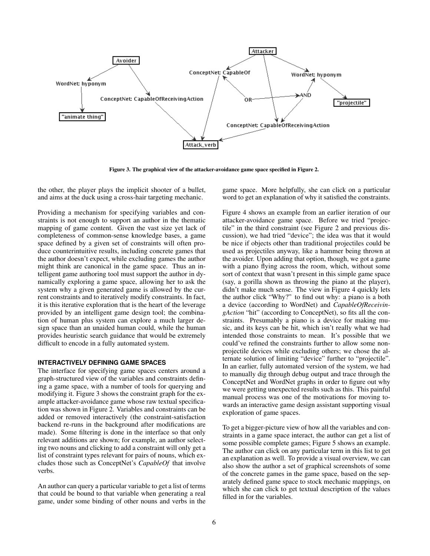

**Figure 3. The graphical view of the attacker-avoidance game space specified in Figure 2.**

the other, the player plays the implicit shooter of a bullet, and aims at the duck using a cross-hair targeting mechanic.

Providing a mechanism for specifying variables and constraints is not enough to support an author in the thematic mapping of game content. Given the vast size yet lack of completeness of common-sense knowledge bases, a game space defined by a given set of constraints will often produce counterintuitive results, including concrete games that the author doesn't expect, while excluding games the author might think are canonical in the game space. Thus an intelligent game authoring tool must support the author in dynamically exploring a game space, allowing her to ask the system why a given generated game is allowed by the current constraints and to iteratively modify constraints. In fact, it is this iterative exploration that is the heart of the leverage provided by an intelligent game design tool; the combination of human plus system can explore a much larger design space than an unaided human could, while the human provides heuristic search guidance that would be extremely difficult to encode in a fully automated system.

## **INTERACTIVELY DEFINING GAME SPACES**

The interface for specifying game spaces centers around a graph-structured view of the variables and constraints defining a game space, with a number of tools for querying and modifying it. Figure 3 shows the constraint graph for the example attacker-avoidance game whose raw textual specification was shown in Figure 2. Variables and constraints can be added or removed interactively (the constraint-satisfaction backend re-runs in the background after modifications are made). Some filtering is done in the interface so that only relevant additions are shown; for example, an author selecting two nouns and clicking to add a constraint will only get a list of constraint types relevant for pairs of nouns, which excludes those such as ConceptNet's *CapableOf* that involve verbs.

An author can query a particular variable to get a list of terms that could be bound to that variable when generating a real game, under some binding of other nouns and verbs in the game space. More helpfully, she can click on a particular word to get an explanation of why it satisfied the constraints.

Figure 4 shows an example from an earlier iteration of our attacker-avoidance game space. Before we tried "projectile" in the third constraint (see Figure 2 and previous discussion), we had tried "device"; the idea was that it would be nice if objects other than traditional projectiles could be used as projectiles anyway, like a hammer being thrown at the avoider. Upon adding that option, though, we got a game with a piano flying across the room, which, without some sort of context that wasn't present in this simple game space (say, a gorilla shown as throwing the piano at the player), didn't make much sense. The view in Figure 4 quickly lets the author click "Why?" to find out why: a piano is a both a device (according to WordNet) and *CapableOfReceivingAction* "hit" (according to ConceptNet), so fits all the constraints. Presumably a piano is a device for making music, and its keys can be hit, which isn't really what we had intended those constraints to mean. It's possible that we could've refined the constraints further to allow some nonprojectile devices while excluding others; we chose the alternate solution of limiting "device" further to "projectile". In an earlier, fully automated version of the system, we had to manually dig through debug output and trace through the ConceptNet and WordNet graphs in order to figure out why we were getting unexpected results such as this. This painful manual process was one of the motivations for moving towards an interactive game design assistant supporting visual exploration of game spaces.

To get a bigger-picture view of how all the variables and constraints in a game space interact, the author can get a list of some possible complete games; Figure 5 shows an example. The author can click on any particular term in this list to get an explanation as well. To provide a visual overview, we can also show the author a set of graphical screenshots of some of the concrete games in the game space, based on the separately defined game space to stock mechanic mappings, on which she can click to get textual description of the values filled in for the variables.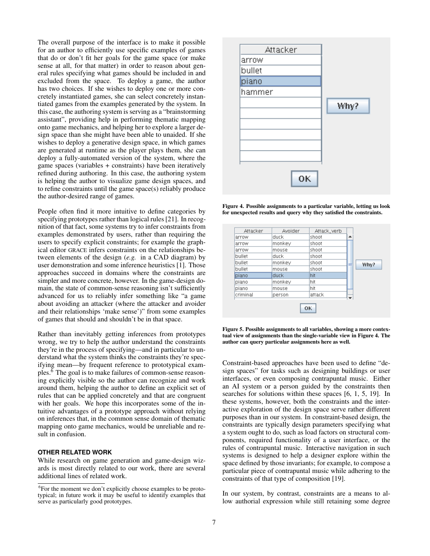The overall purpose of the interface is to make it possible for an author to efficiently use specific examples of games that do or don't fit her goals for the game space (or make sense at all, for that matter) in order to reason about general rules specifying what games should be included in and excluded from the space. To deploy a game, the author has two choices. If she wishes to deploy one or more concretely instantiated games, she can select concretely instantiated games from the examples generated by the system. In this case, the authoring system is serving as a "brainstorming assistant", providing help in performing thematic mapping onto game mechanics, and helping her to explore a larger design space than she might have been able to unaided. If she wishes to deploy a generative design space, in which games are generated at runtime as the player plays them, she can deploy a fully-automated version of the system, where the game spaces (variables + constraints) have been iteratively refined during authoring. In this case, the authoring system is helping the author to visualize game design spaces, and to refine constraints until the game space(s) reliably produce the author-desired range of games.

People often find it more intuitive to define categories by specifying prototypes rather than logical rules [21]. In recognition of that fact, some systems try to infer constraints from examples demonstrated by users, rather than requiring the users to specify explicit constraints; for example the graphical editor GRACE infers constraints on the relationships between elements of the design (*e.g.* in a CAD diagram) by user demonstration and some inference heuristics [1]. Those approaches succeed in domains where the constraints are simpler and more concrete, however. In the game-design domain, the state of common-sense reasoning isn't sufficiently advanced for us to reliably infer something like "a game about avoiding an attacker (where the attacker and avoider and their relationships 'make sense')" from some examples of games that should and shouldn't be in that space.

Rather than inevitably getting inferences from prototypes wrong, we try to help the author understand the constraints they're in the process of specifying—and in particular to understand what the system thinks the constraints they're specifying mean—by frequent reference to prototypical examples.<sup>6</sup> The goal is to make failures of common-sense reasoning explicitly visible so the author can recognize and work around them, helping the author to define an explicit set of rules that can be applied concretely and that are congruent with her goals. We hope this incorporates some of the intuitive advantages of a prototype approach without relying on inferences that, in the common sense domain of thematic mapping onto game mechanics, would be unreliable and result in confusion.

# **OTHER RELATED WORK**

While research on game generation and game-design wizards is most directly related to our work, there are several additional lines of related work.



**Figure 4. Possible assignments to a particular variable, letting us look for unexpected results and query why they satisfied the constraints.**



**Figure 5. Possible assignments to all variables, showing a more contextual view of assignments than the single-variable view in Figure 4. The author can query particular assignments here as well.**

Constraint-based approaches have been used to define "design spaces" for tasks such as designing buildings or user interfaces, or even composing contrapuntal music. Either an AI system or a person guided by the constraints then searches for solutions within these spaces [6, 1, 5, 19]. In these systems, however, both the constraints and the interactive exploration of the design space serve rather different purposes than in our system. In constraint-based design, the constraints are typically design parameters specifying what a system ought to do, such as load factors on structural components, required functionality of a user interface, or the rules of contrapuntal music. Interactive navigation in such systems is designed to help a designer explore within the space defined by those invariants; for example, to compose a particular piece of contrapuntal music while adhering to the constraints of that type of composition [19].

In our system, by contrast, constraints are a means to allow authorial expression while still retaining some degree

<sup>&</sup>lt;sup>6</sup>For the moment we don't explicitly choose examples to be prototypical; in future work it may be useful to identify examples that serve as particularly good prototypes.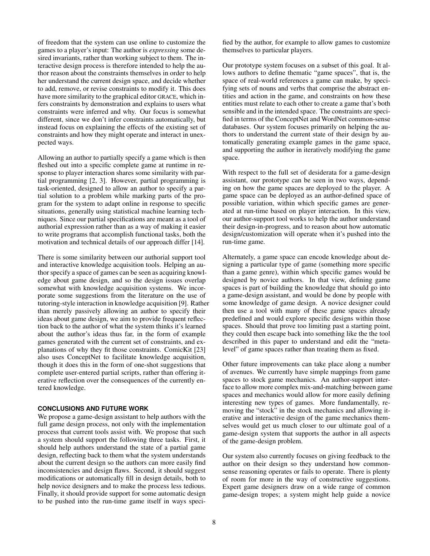of freedom that the system can use online to customize the games to a player's input: The author is *expressing* some desired invariants, rather than working subject to them. The interactive design process is therefore intended to help the author reason about the constraints themselves in order to help her understand the current design space, and decide whether to add, remove, or revise constraints to modify it. This does have more similarity to the graphical editor GRACE, which infers constraints by demonstration and explains to users what constraints were inferred and why. Our focus is somewhat different, since we don't infer constraints automatically, but instead focus on explaining the effects of the existing set of constraints and how they might operate and interact in unexpected ways.

Allowing an author to partially specify a game which is then fleshed out into a specific complete game at runtime in response to player interaction shares some similarity with partial programming [2, 3]. However, partial programming is task-oriented, designed to allow an author to specify a partial solution to a problem while marking parts of the program for the system to adapt online in response to specific situations, generally using statistical machine learning techniques. Since our partial specifications are meant as a tool of authorial expression rather than as a way of making it easier to write programs that accomplish functional tasks, both the motivation and technical details of our approach differ [14].

There is some similarity between our authorial support tool and interactive knowledge acquisition tools. Helping an author specify a space of games can be seen as acquiring knowledge about game design, and so the design issues overlap somewhat with knowledge acquisition systems. We incorporate some suggestions from the literature on the use of tutoring-style interaction in knowledge acquisition [9]. Rather than merely passively allowing an author to specify their ideas about game design, we aim to provide frequent reflection back to the author of what the system thinks it's learned about the author's ideas thus far, in the form of example games generated with the current set of constraints, and explanations of why they fit those constraints. ComicKit [23] also uses ConceptNet to facilitate knowledge acquisition, though it does this in the form of one-shot suggestions that complete user-entered partial scripts, rather than offering iterative reflection over the consequences of the currently entered knowledge.

#### **CONCLUSIONS AND FUTURE WORK**

We propose a game-design assistant to help authors with the full game design process, not only with the implementation process that current tools assist with. We propose that such a system should support the following three tasks. First, it should help authors understand the state of a partial game design, reflecting back to them what the system understands about the current design so the authors can more easily find inconsistencies and design flaws. Second, it should suggest modifications or automatically fill in design details, both to help novice designers and to make the process less tedious. Finally, it should provide support for some automatic design to be pushed into the run-time game itself in ways specified by the author, for example to allow games to customize themselves to particular players.

Our prototype system focuses on a subset of this goal. It allows authors to define thematic "game spaces", that is, the space of real-world references a game can make, by specifying sets of nouns and verbs that comprise the abstract entities and action in the game, and constraints on how these entities must relate to each other to create a game that's both sensible and in the intended space. The constraints are specified in terms of the ConceptNet and WordNet common-sense databases. Our system focuses primarily on helping the authors to understand the current state of their design by automatically generating example games in the game space, and supporting the author in iteratively modifying the game space.

With respect to the full set of desiderata for a game-design assistant, our prototype can be seen in two ways, depending on how the game spaces are deployed to the player. A game space can be deployed as an author-defined space of possible variation, within which specific games are generated at run-time based on player interaction. In this view, our author-support tool works to help the author understand their design-in-progress, and to reason about how automatic design/customization will operate when it's pushed into the run-time game.

Alternately, a game space can encode knowledge about designing a particular type of game (something more specific than a game genre), within which specific games would be designed by novice authors. In that view, defining game spaces is part of building the knowledge that should go into a game-design assistant, and would be done by people with some knowledge of game design. A novice designer could then use a tool with many of these game spaces already predefined and would explore specific designs within those spaces. Should that prove too limiting past a starting point, they could then escape back into something like the the tool described in this paper to understand and edit the "metalevel" of game spaces rather than treating them as fixed.

Other future improvements can take place along a number of avenues. We currently have simple mappings from game spaces to stock game mechanics. An author-support interface to allow more complex mix-and-matching between game spaces and mechanics would allow for more easily defining interesting new types of games. More fundamentally, removing the "stock" in the stock mechanics and allowing iterative and interactive design of the game mechanics themselves would get us much closer to our ultimate goal of a game-design system that supports the author in all aspects of the game-design problem.

Our system also currently focuses on giving feedback to the author on their design so they understand how commonsense reasoning operates or fails to operate. There is plenty of room for more in the way of constructive suggestions. Expert game designers draw on a wide range of common game-design tropes; a system might help guide a novice